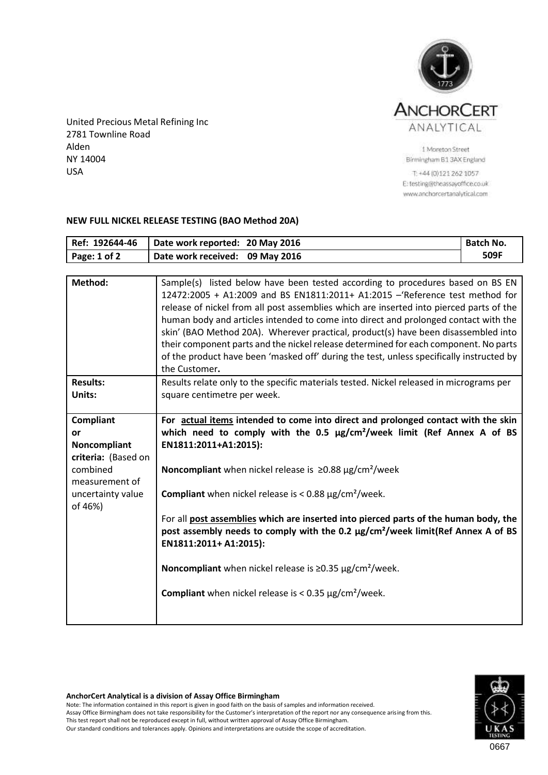

United Precious Metal Refining Inc 2781 Townline Road Alden NY 14004 USA

1 Moreton Street Birmingham B1 3AX England

T: +44 (0)121 262 1057 E: testing@theassayoffice.co.uk www.anchorcertanalytical.com

## **NEW FULL NICKEL RELEASE TESTING (BAO Method 20A)**

| Ref: 192644-46                                                                                                              | Date work reported: 20 May 2016                                                                                                                                                                                                                                                                                                                                                                                                                                                                                                                                                                                                                                                                                                         | <b>Batch No.</b> |  |  |
|-----------------------------------------------------------------------------------------------------------------------------|-----------------------------------------------------------------------------------------------------------------------------------------------------------------------------------------------------------------------------------------------------------------------------------------------------------------------------------------------------------------------------------------------------------------------------------------------------------------------------------------------------------------------------------------------------------------------------------------------------------------------------------------------------------------------------------------------------------------------------------------|------------------|--|--|
| Page: 1 of 2                                                                                                                | Date work received:<br>09 May 2016                                                                                                                                                                                                                                                                                                                                                                                                                                                                                                                                                                                                                                                                                                      | 509F             |  |  |
|                                                                                                                             |                                                                                                                                                                                                                                                                                                                                                                                                                                                                                                                                                                                                                                                                                                                                         |                  |  |  |
| Method:                                                                                                                     | Sample(s) listed below have been tested according to procedures based on BS EN<br>12472:2005 + A1:2009 and BS EN1811:2011+ A1:2015 -'Reference test method for<br>release of nickel from all post assemblies which are inserted into pierced parts of the<br>human body and articles intended to come into direct and prolonged contact with the<br>skin' (BAO Method 20A). Wherever practical, product(s) have been disassembled into<br>their component parts and the nickel release determined for each component. No parts<br>of the product have been 'masked off' during the test, unless specifically instructed by<br>the Customer.                                                                                             |                  |  |  |
| <b>Results:</b><br>Units:                                                                                                   | Results relate only to the specific materials tested. Nickel released in micrograms per<br>square centimetre per week.                                                                                                                                                                                                                                                                                                                                                                                                                                                                                                                                                                                                                  |                  |  |  |
| <b>Compliant</b><br>or<br>Noncompliant<br>criteria: (Based on<br>combined<br>measurement of<br>uncertainty value<br>of 46%) | For actual items intended to come into direct and prolonged contact with the skin<br>which need to comply with the 0.5 $\mu$ g/cm <sup>2</sup> /week limit (Ref Annex A of BS<br>EN1811:2011+A1:2015):<br>Noncompliant when nickel release is $\geq$ 0.88 µg/cm <sup>2</sup> /week<br><b>Compliant</b> when nickel release is < 0.88 $\mu$ g/cm <sup>2</sup> /week.<br>For all post assemblies which are inserted into pierced parts of the human body, the<br>post assembly needs to comply with the 0.2 µg/cm <sup>2</sup> /week limit(Ref Annex A of BS<br>EN1811:2011+ A1:2015):<br>Noncompliant when nickel release is $\geq$ 0.35 µg/cm <sup>2</sup> /week.<br><b>Compliant</b> when nickel release is < $0.35 \mu g/cm^2$ /week. |                  |  |  |



## **AnchorCert Analytical is a division of Assay Office Birmingham**

Note: The information contained in this report is given in good faith on the basis of samples and information received. Assay Office Birmingham does not take responsibility for the Customer's interpretation of the report nor any consequence arising from this. This test report shall not be reproduced except in full, without written approval of Assay Office Birmingham. Our standard conditions and tolerances apply. Opinions and interpretations are outside the scope of accreditation.